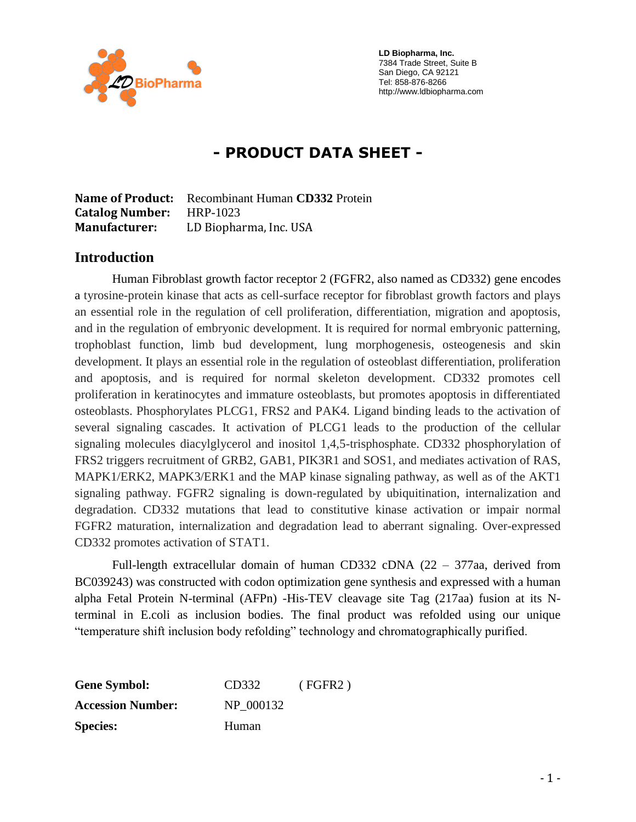

 **LD Biopharma, Inc.** 7384 Trade Street, Suite B San Diego, CA 92121 Tel: 858-876-8266 http://www.ldbiopharma.com

# **- PRODUCT DATA SHEET -**

**Name of Product:** Recombinant Human **CD332** Protein **Catalog Number:** HRP-1023 **Manufacturer:** LD Biopharma, Inc. USA

#### **Introduction**

Human Fibroblast growth factor receptor 2 (FGFR2, also named as CD332) gene encodes a tyrosine-protein kinase that acts as cell-surface receptor for fibroblast growth factors and plays an essential role in the regulation of cell proliferation, differentiation, migration and apoptosis, and in the regulation of embryonic development. It is required for normal embryonic patterning, trophoblast function, limb bud development, lung morphogenesis, osteogenesis and skin development. It plays an essential role in the regulation of osteoblast differentiation, proliferation and apoptosis, and is required for normal skeleton development. CD332 promotes cell proliferation in keratinocytes and immature osteoblasts, but promotes apoptosis in differentiated osteoblasts. Phosphorylates PLCG1, FRS2 and PAK4. Ligand binding leads to the activation of several signaling cascades. It activation of PLCG1 leads to the production of the cellular signaling molecules diacylglycerol and inositol 1,4,5-trisphosphate. CD332 phosphorylation of FRS2 triggers recruitment of GRB2, GAB1, PIK3R1 and SOS1, and mediates activation of RAS, MAPK1/ERK2, MAPK3/ERK1 and the MAP kinase signaling pathway, as well as of the AKT1 signaling pathway. FGFR2 signaling is down-regulated by ubiquitination, internalization and degradation. CD332 mutations that lead to constitutive kinase activation or impair normal FGFR2 maturation, internalization and degradation lead to aberrant signaling. Over-expressed CD332 promotes activation of STAT1.

Full-length extracellular domain of human CD332 cDNA (22 – 377aa, derived from BC039243) was constructed with codon optimization gene synthesis and expressed with a human alpha Fetal Protein N-terminal (AFPn) -His-TEV cleavage site Tag (217aa) fusion at its Nterminal in E.coli as inclusion bodies. The final product was refolded using our unique "temperature shift inclusion body refolding" technology and chromatographically purified.

| <b>Gene Symbol:</b>      | CD332     | (FGFR2) |
|--------------------------|-----------|---------|
| <b>Accession Number:</b> | NP 000132 |         |
| <b>Species:</b>          | Human     |         |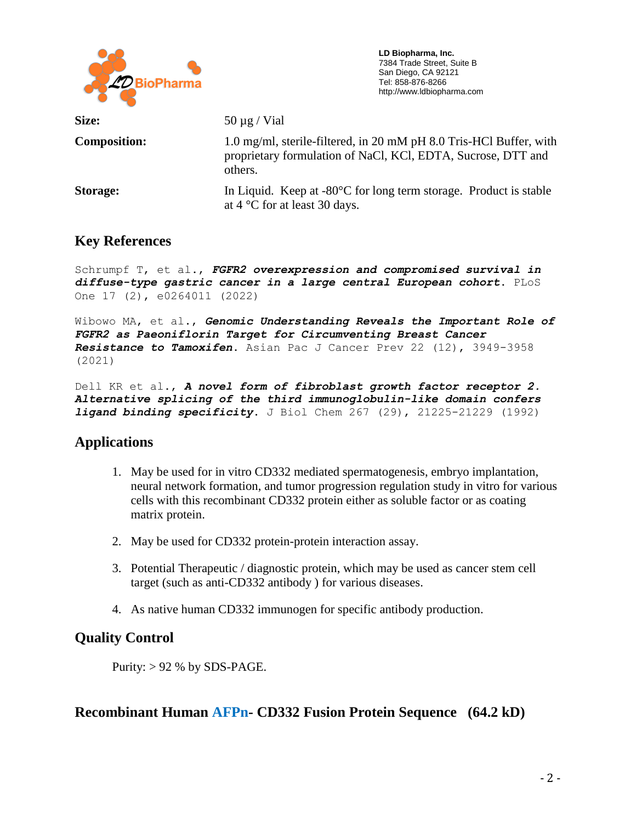

 **LD Biopharma, Inc.** 7384 Trade Street, Suite B San Diego, CA 92121 Tel: 858-876-8266 http://www.ldbiopharma.com

| Size:               | 50 $\mu$ g / Vial                                                                                                                             |
|---------------------|-----------------------------------------------------------------------------------------------------------------------------------------------|
| <b>Composition:</b> | 1.0 mg/ml, sterile-filtered, in 20 mM pH 8.0 Tris-HCl Buffer, with<br>proprietary formulation of NaCl, KCl, EDTA, Sucrose, DTT and<br>others. |
| Storage:            | In Liquid. Keep at $-80^{\circ}$ C for long term storage. Product is stable<br>at $4^{\circ}$ C for at least 30 days.                         |

## **Key References**

Schrumpf T, et al., *FGFR2 overexpression and compromised survival in diffuse-type gastric cancer in a large central European cohort*. PLoS One 17 (2), e0264011 (2022)

Wibowo MA, et al., *Genomic Understanding Reveals the Important Role of FGFR2 as Paeoniflorin Target for Circumventing Breast Cancer Resistance to Tamoxifen*. Asian Pac J Cancer Prev 22 (12), 3949-3958 (2021)

Dell KR et al., *A novel form of fibroblast growth factor receptor 2. Alternative splicing of the third immunoglobulin-like domain confers ligand binding specificity*. J Biol Chem 267 (29), 21225-21229 (1992)

## **Applications**

- 1. May be used for in vitro CD332 mediated spermatogenesis, embryo implantation, neural network formation, and tumor progression regulation study in vitro for various cells with this recombinant CD332 protein either as soluble factor or as coating matrix protein.
- 2. May be used for CD332 protein-protein interaction assay.
- 3. Potential Therapeutic / diagnostic protein, which may be used as cancer stem cell target (such as anti-CD332 antibody ) for various diseases.
- 4. As native human CD332 immunogen for specific antibody production.

## **Quality Control**

Purity:  $> 92 %$  by SDS-PAGE.

## **Recombinant Human AFPn- CD332 Fusion Protein Sequence (64.2 kD)**